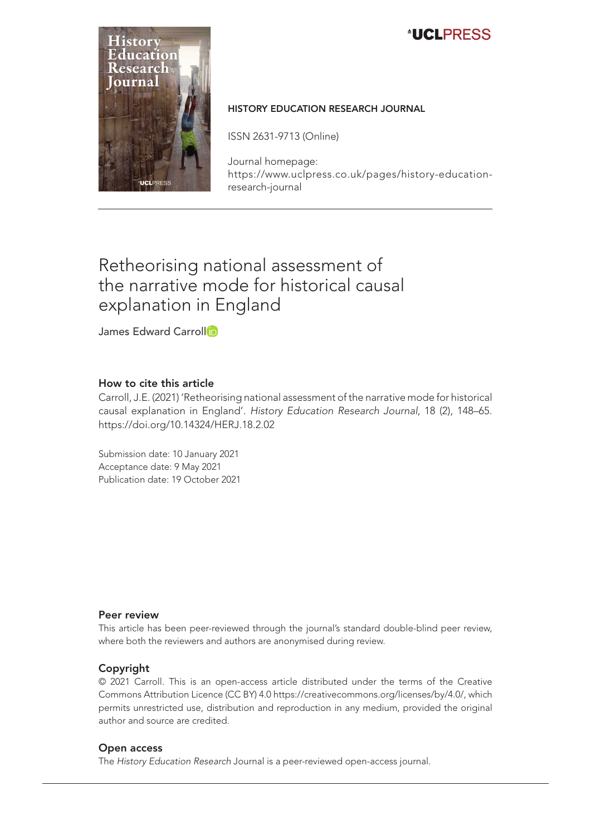# **ALCLERESS**



#### HISTORY EDUCATION RESEARCH JOURNAL

ISSN 2631-9713 (Online)

Journal homepage: [https://www.uclpress.co.uk/pages/history-education](https://www.uclpress.co.uk/pages/history-education-research-journal)[research-journal](https://www.uclpress.co.uk/pages/history-education-research-journal)

# Retheorising national assessment of the narrative mode for historical causal explanation in England

James Edward Carro[l](https://orcid.org/0000-0001-5678-1166)l<sup>1</sup>

#### How to cite this article

Carroll, J.E. (2021) 'Retheorising national assessment of the narrative mode for historical causal explanation in England'. *History Education Research Journal*, 18 (2), 148–65. <https://doi.org/10.14324/HERJ.18.2.02>

Submission date: 10 January 2021 Acceptance date: 9 May 2021 Publication date: 19 October 2021

#### Peer review

This article has been peer-reviewed through the journal's standard double-blind peer review, where both the reviewers and authors are anonymised during review.

#### Copyright

© 2021 Carroll. This is an open-access article distributed under the terms of the Creative Commons Attribution Licence (CC BY) 4.0 <https://creativecommons.org/licenses/by/4.0/>, which permits unrestricted use, distribution and reproduction in any medium, provided the original author and source are credited.

#### Open access

The *History Education Research* Journal is a peer-reviewed open-access journal.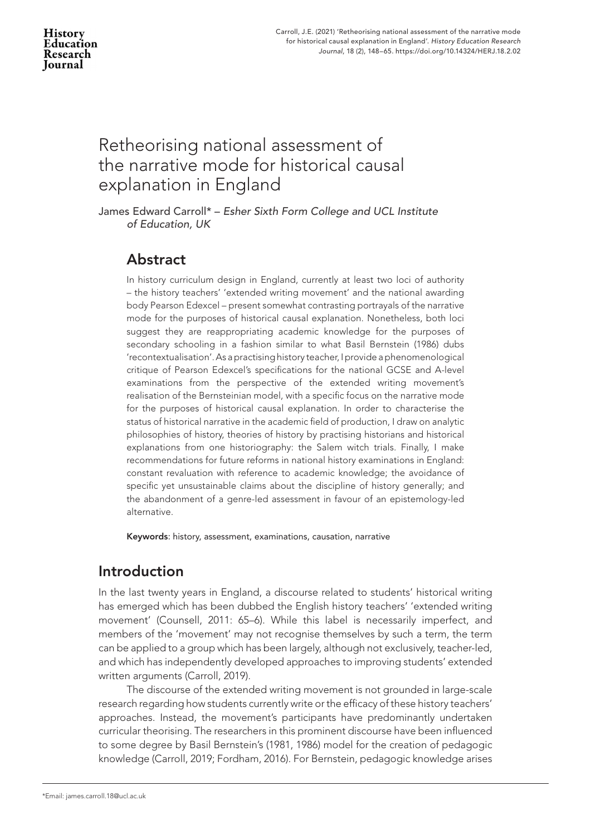# Retheorising national assessment of the narrative mode for historical causal explanation in England

James Edward Carroll\* – *Esher Sixth Form College and UCL Institute of Education, UK*

# Abstract

In history curriculum design in England, currently at least two loci of authority – the history teachers' 'extended writing movement' and the national awarding body Pearson Edexcel – present somewhat contrasting portrayals of the narrative mode for the purposes of historical causal explanation. Nonetheless, both loci suggest they are reappropriating academic knowledge for the purposes of secondary schooling in a fashion similar to what Basil Bernstein (1986) dubs 'recontextualisation'. As a practising history teacher, I provide a phenomenological critique of Pearson Edexcel's specifications for the national GCSE and A-level examinations from the perspective of the extended writing movement's realisation of the Bernsteinian model, with a specific focus on the narrative mode for the purposes of historical causal explanation. In order to characterise the status of historical narrative in the academic field of production, I draw on analytic philosophies of history, theories of history by practising historians and historical explanations from one historiography: the Salem witch trials. Finally, I make recommendations for future reforms in national history examinations in England: constant revaluation with reference to academic knowledge; the avoidance of specific yet unsustainable claims about the discipline of history generally; and the abandonment of a genre-led assessment in favour of an epistemology-led alternative.

Keywords: history, assessment, examinations, causation, narrative

# Introduction

In the last twenty years in England, a discourse related to students' historical writing has emerged which has been dubbed the English history teachers' 'extended writing movement' (Counsell, 2011: 65–6). While this label is necessarily imperfect, and members of the 'movement' may not recognise themselves by such a term, the term can be applied to a group which has been largely, although not exclusively, teacher-led, and which has independently developed approaches to improving students' extended written arguments (Carroll, 2019).

The discourse of the extended writing movement is not grounded in large-scale research regarding how students currently write or the efficacy of these history teachers' approaches. Instead, the movement's participants have predominantly undertaken curricular theorising. The researchers in this prominent discourse have been influenced to some degree by Basil Bernstein's (1981, 1986) model for the creation of pedagogic knowledge (Carroll, 2019; Fordham, 2016). For Bernstein, pedagogic knowledge arises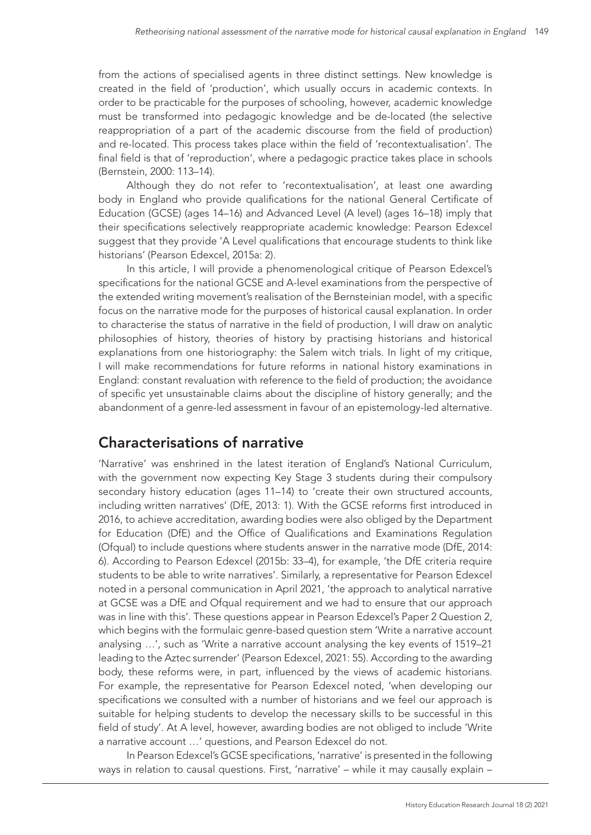from the actions of specialised agents in three distinct settings. New knowledge is created in the field of 'production', which usually occurs in academic contexts. In order to be practicable for the purposes of schooling, however, academic knowledge must be transformed into pedagogic knowledge and be de-located (the selective reappropriation of a part of the academic discourse from the field of production) and re-located. This process takes place within the field of 'recontextualisation'. The final field is that of 'reproduction', where a pedagogic practice takes place in schools (Bernstein, 2000: 113–14).

Although they do not refer to 'recontextualisation', at least one awarding body in England who provide qualifications for the national General Certificate of Education (GCSE) (ages 14–16) and Advanced Level (A level) (ages 16–18) imply that their specifications selectively reappropriate academic knowledge: Pearson Edexcel suggest that they provide 'A Level qualifications that encourage students to think like historians' (Pearson Edexcel, 2015a: 2).

In this article, I will provide a phenomenological critique of Pearson Edexcel's specifications for the national GCSE and A-level examinations from the perspective of the extended writing movement's realisation of the Bernsteinian model, with a specific focus on the narrative mode for the purposes of historical causal explanation. In order to characterise the status of narrative in the field of production, I will draw on analytic philosophies of history, theories of history by practising historians and historical explanations from one historiography: the Salem witch trials. In light of my critique, I will make recommendations for future reforms in national history examinations in England: constant revaluation with reference to the field of production; the avoidance of specific yet unsustainable claims about the discipline of history generally; and the abandonment of a genre-led assessment in favour of an epistemology-led alternative.

# Characterisations of narrative

'Narrative' was enshrined in the latest iteration of England's National Curriculum, with the government now expecting Key Stage 3 students during their compulsory secondary history education (ages 11–14) to 'create their own structured accounts, including written narratives' (DfE, 2013: 1). With the GCSE reforms first introduced in 2016, to achieve accreditation, awarding bodies were also obliged by the Department for Education (DfE) and the Office of Qualifications and Examinations Regulation (Ofqual) to include questions where students answer in the narrative mode (DfE, 2014: 6). According to Pearson Edexcel (2015b: 33–4), for example, 'the DfE criteria require students to be able to write narratives'. Similarly, a representative for Pearson Edexcel noted in a personal communication in April 2021, 'the approach to analytical narrative at GCSE was a DfE and Ofqual requirement and we had to ensure that our approach was in line with this'. These questions appear in Pearson Edexcel's Paper 2 Question 2, which begins with the formulaic genre-based question stem 'Write a narrative account analysing …', such as 'Write a narrative account analysing the key events of 1519–21 leading to the Aztec surrender' (Pearson Edexcel, 2021: 55). According to the awarding body, these reforms were, in part, influenced by the views of academic historians. For example, the representative for Pearson Edexcel noted, 'when developing our specifications we consulted with a number of historians and we feel our approach is suitable for helping students to develop the necessary skills to be successful in this field of study'. At A level, however, awarding bodies are not obliged to include 'Write a narrative account …' questions, and Pearson Edexcel do not.

In Pearson Edexcel's GCSE specifications, 'narrative' is presented in the following ways in relation to causal questions. First, 'narrative' – while it may causally explain –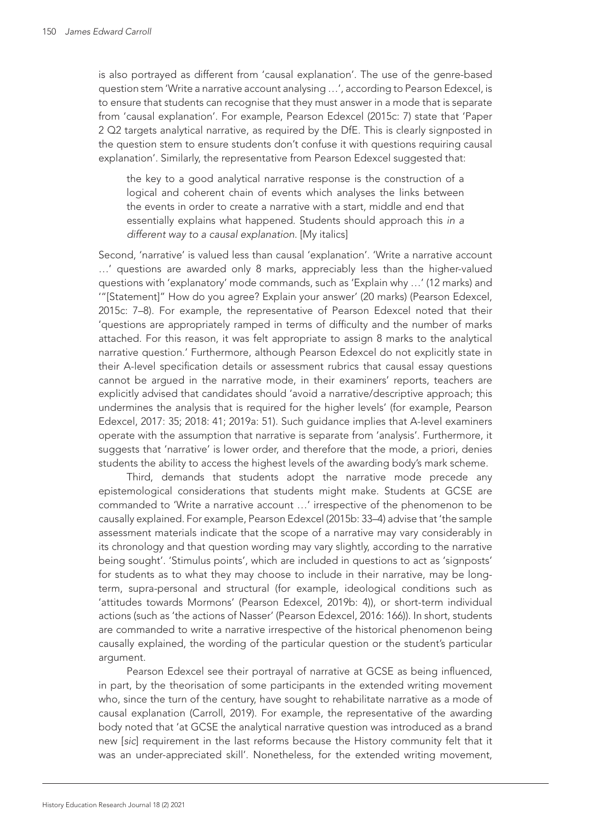is also portrayed as different from 'causal explanation'. The use of the genre-based question stem 'Write a narrative account analysing …', according to Pearson Edexcel, is to ensure that students can recognise that they must answer in a mode that is separate from 'causal explanation'. For example, Pearson Edexcel (2015c: 7) state that 'Paper 2 Q2 targets analytical narrative, as required by the DfE. This is clearly signposted in the question stem to ensure students don't confuse it with questions requiring causal explanation'. Similarly, the representative from Pearson Edexcel suggested that:

the key to a good analytical narrative response is the construction of a logical and coherent chain of events which analyses the links between the events in order to create a narrative with a start, middle and end that essentially explains what happened. Students should approach this *in a different way to a causal explanation*. [My italics]

Second, 'narrative' is valued less than causal 'explanation'. 'Write a narrative account …' questions are awarded only 8 marks, appreciably less than the higher-valued questions with 'explanatory' mode commands, such as 'Explain why …' (12 marks) and '"[Statement]" How do you agree? Explain your answer' (20 marks) (Pearson Edexcel, 2015c: 7–8). For example, the representative of Pearson Edexcel noted that their 'questions are appropriately ramped in terms of difficulty and the number of marks attached. For this reason, it was felt appropriate to assign 8 marks to the analytical narrative question.' Furthermore, although Pearson Edexcel do not explicitly state in their A-level specification details or assessment rubrics that causal essay questions cannot be argued in the narrative mode, in their examiners' reports, teachers are explicitly advised that candidates should 'avoid a narrative/descriptive approach; this undermines the analysis that is required for the higher levels' (for example, Pearson Edexcel, 2017: 35; 2018: 41; 2019a: 51). Such guidance implies that A-level examiners operate with the assumption that narrative is separate from 'analysis'. Furthermore, it suggests that 'narrative' is lower order, and therefore that the mode, a priori, denies students the ability to access the highest levels of the awarding body's mark scheme.

Third, demands that students adopt the narrative mode precede any epistemological considerations that students might make. Students at GCSE are commanded to 'Write a narrative account …' irrespective of the phenomenon to be causally explained. For example, Pearson Edexcel (2015b: 33–4) advise that 'the sample assessment materials indicate that the scope of a narrative may vary considerably in its chronology and that question wording may vary slightly, according to the narrative being sought'. 'Stimulus points', which are included in questions to act as 'signposts' for students as to what they may choose to include in their narrative, may be longterm, supra-personal and structural (for example, ideological conditions such as 'attitudes towards Mormons' (Pearson Edexcel, 2019b: 4)), or short-term individual actions (such as 'the actions of Nasser' (Pearson Edexcel, 2016: 166)). In short, students are commanded to write a narrative irrespective of the historical phenomenon being causally explained, the wording of the particular question or the student's particular argument.

Pearson Edexcel see their portrayal of narrative at GCSE as being influenced, in part, by the theorisation of some participants in the extended writing movement who, since the turn of the century, have sought to rehabilitate narrative as a mode of causal explanation (Carroll, 2019). For example, the representative of the awarding body noted that 'at GCSE the analytical narrative question was introduced as a brand new [*sic*] requirement in the last reforms because the History community felt that it was an under-appreciated skill'. Nonetheless, for the extended writing movement,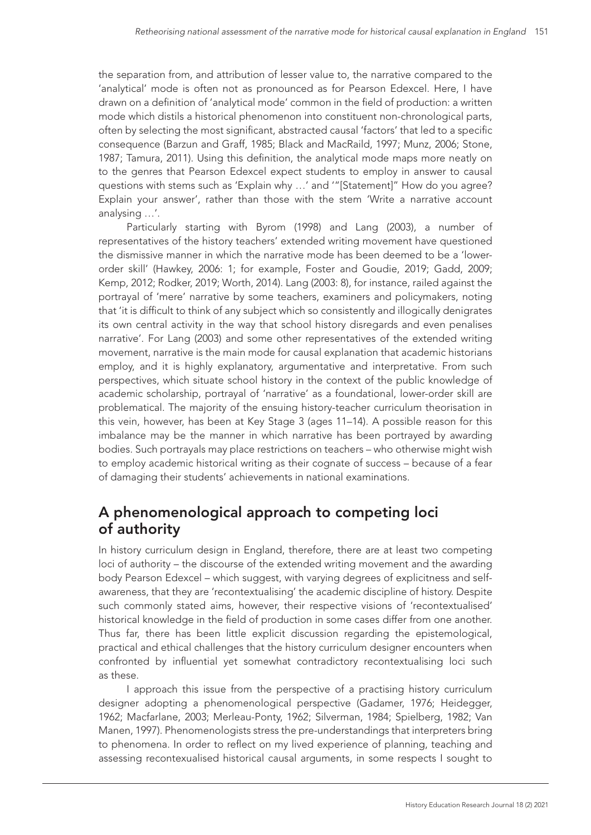the separation from, and attribution of lesser value to, the narrative compared to the 'analytical' mode is often not as pronounced as for Pearson Edexcel. Here, I have drawn on a definition of 'analytical mode' common in the field of production: a written mode which distils a historical phenomenon into constituent non-chronological parts, often by selecting the most significant, abstracted causal 'factors' that led to a specific consequence (Barzun and Graff, 1985; Black and MacRaild, 1997; Munz, 2006; Stone, 1987; Tamura, 2011). Using this definition, the analytical mode maps more neatly on to the genres that Pearson Edexcel expect students to employ in answer to causal questions with stems such as 'Explain why …' and '"[Statement]" How do you agree? Explain your answer', rather than those with the stem 'Write a narrative account analysing …'.

Particularly starting with Byrom (1998) and Lang (2003), a number of representatives of the history teachers' extended writing movement have questioned the dismissive manner in which the narrative mode has been deemed to be a 'lowerorder skill' (Hawkey, 2006: 1; for example, Foster and Goudie, 2019; Gadd, 2009; Kemp, 2012; Rodker, 2019; Worth, 2014). Lang (2003: 8), for instance, railed against the portrayal of 'mere' narrative by some teachers, examiners and policymakers, noting that 'it is difficult to think of any subject which so consistently and illogically denigrates its own central activity in the way that school history disregards and even penalises narrative'. For Lang (2003) and some other representatives of the extended writing movement, narrative is the main mode for causal explanation that academic historians employ, and it is highly explanatory, argumentative and interpretative. From such perspectives, which situate school history in the context of the public knowledge of academic scholarship, portrayal of 'narrative' as a foundational, lower-order skill are problematical. The majority of the ensuing history-teacher curriculum theorisation in this vein, however, has been at Key Stage 3 (ages 11–14). A possible reason for this imbalance may be the manner in which narrative has been portrayed by awarding bodies. Such portrayals may place restrictions on teachers – who otherwise might wish to employ academic historical writing as their cognate of success – because of a fear of damaging their students' achievements in national examinations.

# A phenomenological approach to competing loci of authority

In history curriculum design in England, therefore, there are at least two competing loci of authority – the discourse of the extended writing movement and the awarding body Pearson Edexcel – which suggest, with varying degrees of explicitness and selfawareness, that they are 'recontextualising' the academic discipline of history. Despite such commonly stated aims, however, their respective visions of 'recontextualised' historical knowledge in the field of production in some cases differ from one another. Thus far, there has been little explicit discussion regarding the epistemological, practical and ethical challenges that the history curriculum designer encounters when confronted by influential yet somewhat contradictory recontextualising loci such as these.

I approach this issue from the perspective of a practising history curriculum designer adopting a phenomenological perspective (Gadamer, 1976; Heidegger, 1962; Macfarlane, 2003; Merleau-Ponty, 1962; Silverman, 1984; Spielberg, 1982; Van Manen, 1997). Phenomenologists stress the pre-understandings that interpreters bring to phenomena. In order to reflect on my lived experience of planning, teaching and assessing recontexualised historical causal arguments, in some respects I sought to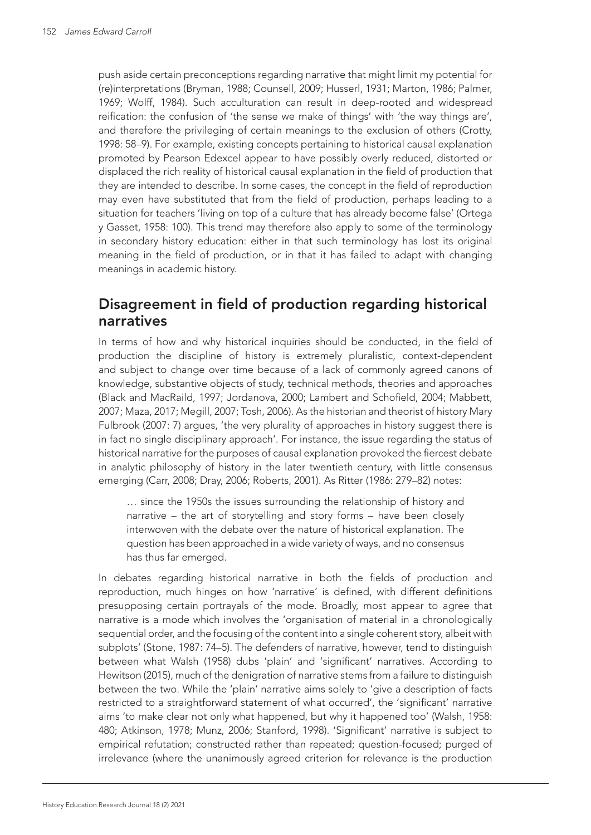push aside certain preconceptions regarding narrative that might limit my potential for (re)interpretations (Bryman, 1988; Counsell, 2009; Husserl, 1931; Marton, 1986; Palmer, 1969; Wolff, 1984). Such acculturation can result in deep-rooted and widespread reification: the confusion of 'the sense we make of things' with 'the way things are', and therefore the privileging of certain meanings to the exclusion of others (Crotty, 1998: 58–9). For example, existing concepts pertaining to historical causal explanation promoted by Pearson Edexcel appear to have possibly overly reduced, distorted or displaced the rich reality of historical causal explanation in the field of production that they are intended to describe. In some cases, the concept in the field of reproduction may even have substituted that from the field of production, perhaps leading to a situation for teachers 'living on top of a culture that has already become false' (Ortega y Gasset, 1958: 100). This trend may therefore also apply to some of the terminology in secondary history education: either in that such terminology has lost its original meaning in the field of production, or in that it has failed to adapt with changing meanings in academic history.

### Disagreement in field of production regarding historical narratives

In terms of how and why historical inquiries should be conducted, in the field of production the discipline of history is extremely pluralistic, context-dependent and subject to change over time because of a lack of commonly agreed canons of knowledge, substantive objects of study, technical methods, theories and approaches (Black and MacRaild, 1997; Jordanova, 2000; Lambert and Schofield, 2004; Mabbett, 2007; Maza, 2017; Megill, 2007; Tosh, 2006). As the historian and theorist of history Mary Fulbrook (2007: 7) argues, 'the very plurality of approaches in history suggest there is in fact no single disciplinary approach'. For instance, the issue regarding the status of historical narrative for the purposes of causal explanation provoked the fiercest debate in analytic philosophy of history in the later twentieth century, with little consensus emerging (Carr, 2008; Dray, 2006; Roberts, 2001). As Ritter (1986: 279–82) notes:

… since the 1950s the issues surrounding the relationship of history and narrative – the art of storytelling and story forms – have been closely interwoven with the debate over the nature of historical explanation. The question has been approached in a wide variety of ways, and no consensus has thus far emerged.

In debates regarding historical narrative in both the fields of production and reproduction, much hinges on how 'narrative' is defined, with different definitions presupposing certain portrayals of the mode. Broadly, most appear to agree that narrative is a mode which involves the 'organisation of material in a chronologically sequential order, and the focusing of the content into a single coherent story, albeit with subplots' (Stone, 1987: 74–5). The defenders of narrative, however, tend to distinguish between what Walsh (1958) dubs 'plain' and 'significant' narratives. According to Hewitson (2015), much of the denigration of narrative stems from a failure to distinguish between the two. While the 'plain' narrative aims solely to 'give a description of facts restricted to a straightforward statement of what occurred', the 'significant' narrative aims 'to make clear not only what happened, but why it happened too' (Walsh, 1958: 480; Atkinson, 1978; Munz, 2006; Stanford, 1998). 'Significant' narrative is subject to empirical refutation; constructed rather than repeated; question-focused; purged of irrelevance (where the unanimously agreed criterion for relevance is the production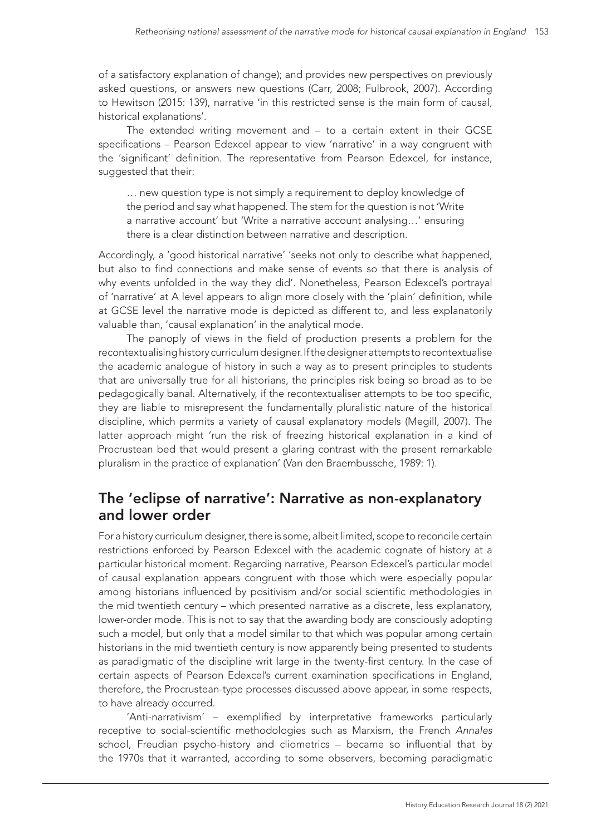of a satisfactory explanation of change); and provides new perspectives on previously asked questions, or answers new questions (Carr, 2008; Fulbrook, 2007). According to Hewitson (2015: 139), narrative 'in this restricted sense is the main form of causal, historical explanations'.

The extended writing movement and – to a certain extent in their GCSE specifications – Pearson Edexcel appear to view 'narrative' in a way congruent with the 'significant' definition. The representative from Pearson Edexcel, for instance, suggested that their:

… new question type is not simply a requirement to deploy knowledge of the period and say what happened. The stem for the question is not 'Write a narrative account' but 'Write a narrative account analysing…' ensuring there is a clear distinction between narrative and description.

Accordingly, a 'good historical narrative' 'seeks not only to describe what happened, but also to find connections and make sense of events so that there is analysis of why events unfolded in the way they did'. Nonetheless, Pearson Edexcel's portrayal of 'narrative' at A level appears to align more closely with the 'plain' definition, while at GCSE level the narrative mode is depicted as different to, and less explanatorily valuable than, 'causal explanation' in the analytical mode.

The panoply of views in the field of production presents a problem for the recontextualising history curriculum designer. If the designer attempts to recontextualise the academic analogue of history in such a way as to present principles to students that are universally true for all historians, the principles risk being so broad as to be pedagogically banal. Alternatively, if the recontextualiser attempts to be too specific, they are liable to misrepresent the fundamentally pluralistic nature of the historical discipline, which permits a variety of causal explanatory models (Megill, 2007). The latter approach might 'run the risk of freezing historical explanation in a kind of Procrustean bed that would present a glaring contrast with the present remarkable pluralism in the practice of explanation' (Van den Braembussche, 1989: 1).

### The 'eclipse of narrative': Narrative as non-explanatory and lower order

For a history curriculum designer, there is some, albeit limited, scope to reconcile certain restrictions enforced by Pearson Edexcel with the academic cognate of history at a particular historical moment. Regarding narrative, Pearson Edexcel's particular model of causal explanation appears congruent with those which were especially popular among historians influenced by positivism and/or social scientific methodologies in the mid twentieth century – which presented narrative as a discrete, less explanatory, lower-order mode. This is not to say that the awarding body are consciously adopting such a model, but only that a model similar to that which was popular among certain historians in the mid twentieth century is now apparently being presented to students as paradigmatic of the discipline writ large in the twenty-first century. In the case of certain aspects of Pearson Edexcel's current examination specifications in England, therefore, the Procrustean-type processes discussed above appear, in some respects, to have already occurred.

'Anti-narrativism' – exemplified by interpretative frameworks particularly receptive to social-scientific methodologies such as Marxism, the French *Annales* school, Freudian psycho-history and cliometrics – became so influential that by the 1970s that it warranted, according to some observers, becoming paradigmatic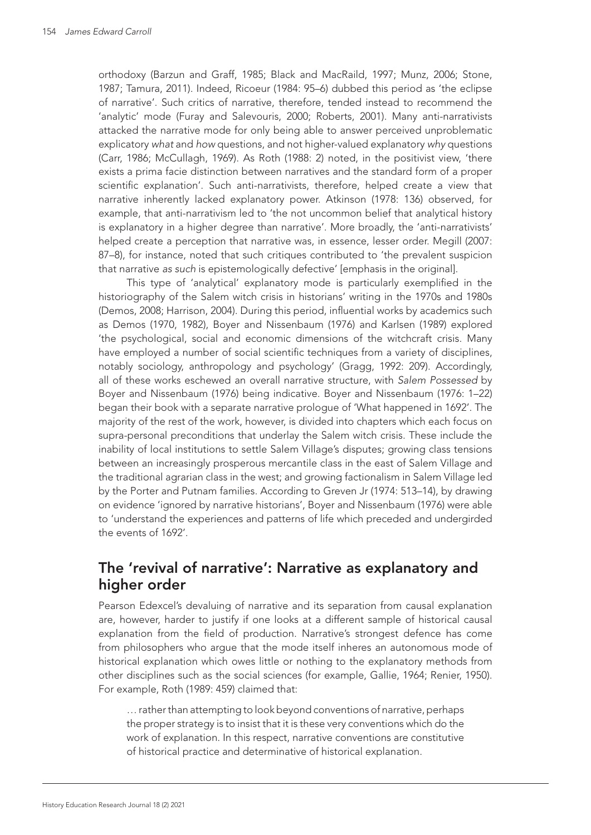orthodoxy (Barzun and Graff, 1985; Black and MacRaild, 1997; Munz, 2006; Stone, 1987; Tamura, 2011). Indeed, Ricoeur (1984: 95–6) dubbed this period as 'the eclipse of narrative'. Such critics of narrative, therefore, tended instead to recommend the 'analytic' mode (Furay and Salevouris, 2000; Roberts, 2001). Many anti-narrativists attacked the narrative mode for only being able to answer perceived unproblematic explicatory *what* and *how* questions, and not higher-valued explanatory *why* questions (Carr, 1986; McCullagh, 1969). As Roth (1988: 2) noted, in the positivist view, 'there exists a prima facie distinction between narratives and the standard form of a proper scientific explanation'. Such anti-narrativists, therefore, helped create a view that narrative inherently lacked explanatory power. Atkinson (1978: 136) observed, for example, that anti-narrativism led to 'the not uncommon belief that analytical history is explanatory in a higher degree than narrative'. More broadly, the 'anti-narrativists' helped create a perception that narrative was, in essence, lesser order. Megill (2007: 87–8), for instance, noted that such critiques contributed to 'the prevalent suspicion that narrative *as such* is epistemologically defective' [emphasis in the original].

This type of 'analytical' explanatory mode is particularly exemplified in the historiography of the Salem witch crisis in historians' writing in the 1970s and 1980s (Demos, 2008; Harrison, 2004). During this period, influential works by academics such as Demos (1970, 1982), Boyer and Nissenbaum (1976) and Karlsen (1989) explored 'the psychological, social and economic dimensions of the witchcraft crisis. Many have employed a number of social scientific techniques from a variety of disciplines, notably sociology, anthropology and psychology' (Gragg, 1992: 209). Accordingly, all of these works eschewed an overall narrative structure, with *Salem Possessed* by Boyer and Nissenbaum (1976) being indicative. Boyer and Nissenbaum (1976: 1–22) began their book with a separate narrative prologue of 'What happened in 1692'. The majority of the rest of the work, however, is divided into chapters which each focus on supra-personal preconditions that underlay the Salem witch crisis. These include the inability of local institutions to settle Salem Village's disputes; growing class tensions between an increasingly prosperous mercantile class in the east of Salem Village and the traditional agrarian class in the west; and growing factionalism in Salem Village led by the Porter and Putnam families. According to Greven Jr (1974: 513–14), by drawing on evidence 'ignored by narrative historians', Boyer and Nissenbaum (1976) were able to 'understand the experiences and patterns of life which preceded and undergirded the events of 1692'.

#### The 'revival of narrative': Narrative as explanatory and higher order

Pearson Edexcel's devaluing of narrative and its separation from causal explanation are, however, harder to justify if one looks at a different sample of historical causal explanation from the field of production. Narrative's strongest defence has come from philosophers who argue that the mode itself inheres an autonomous mode of historical explanation which owes little or nothing to the explanatory methods from other disciplines such as the social sciences (for example, Gallie, 1964; Renier, 1950). For example, Roth (1989: 459) claimed that:

… rather than attempting to look beyond conventions of narrative, perhaps the proper strategy is to insist that it is these very conventions which do the work of explanation. In this respect, narrative conventions are constitutive of historical practice and determinative of historical explanation.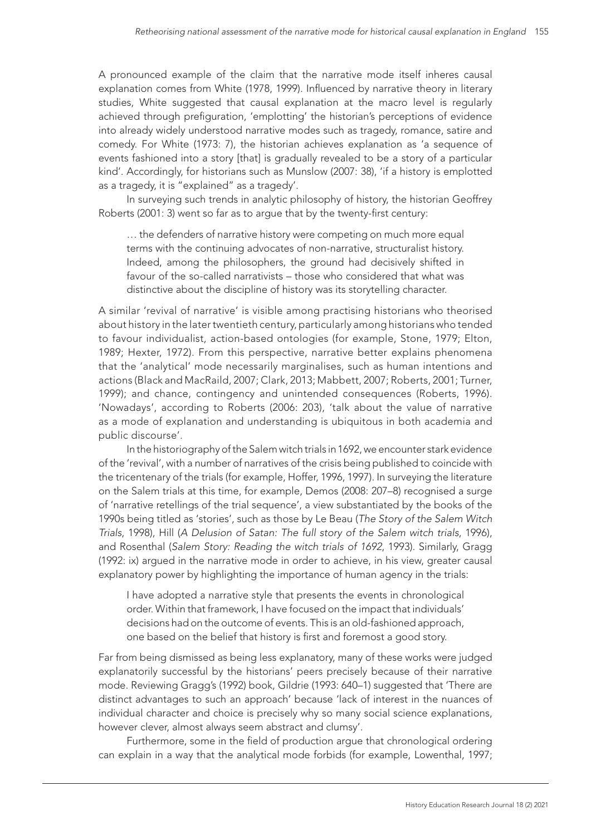A pronounced example of the claim that the narrative mode itself inheres causal explanation comes from White (1978, 1999). Influenced by narrative theory in literary studies, White suggested that causal explanation at the macro level is regularly achieved through prefiguration, 'emplotting' the historian's perceptions of evidence into already widely understood narrative modes such as tragedy, romance, satire and comedy. For White (1973: 7), the historian achieves explanation as 'a sequence of events fashioned into a story [that] is gradually revealed to be a story of a particular kind'. Accordingly, for historians such as Munslow (2007: 38), 'if a history is emplotted as a tragedy, it is "explained" as a tragedy'.

In surveying such trends in analytic philosophy of history, the historian Geoffrey Roberts (2001: 3) went so far as to argue that by the twenty-first century:

… the defenders of narrative history were competing on much more equal terms with the continuing advocates of non-narrative, structuralist history. Indeed, among the philosophers, the ground had decisively shifted in favour of the so-called narrativists – those who considered that what was distinctive about the discipline of history was its storytelling character.

A similar 'revival of narrative' is visible among practising historians who theorised about history in the later twentieth century, particularly among historians who tended to favour individualist, action-based ontologies (for example, Stone, 1979; Elton, 1989; Hexter, 1972). From this perspective, narrative better explains phenomena that the 'analytical' mode necessarily marginalises, such as human intentions and actions (Black and MacRaild, 2007; Clark, 2013; Mabbett, 2007; Roberts, 2001; Turner, 1999); and chance, contingency and unintended consequences (Roberts, 1996). 'Nowadays', according to Roberts (2006: 203), 'talk about the value of narrative as a mode of explanation and understanding is ubiquitous in both academia and public discourse'.

In the historiography of the Salem witch trials in 1692, we encounter stark evidence of the 'revival', with a number of narratives of the crisis being published to coincide with the tricentenary of the trials (for example, Hoffer, 1996, 1997). In surveying the literature on the Salem trials at this time, for example, Demos (2008: 207–8) recognised a surge of 'narrative retellings of the trial sequence', a view substantiated by the books of the 1990s being titled as 'stories', such as those by Le Beau (*The Story of the Salem Witch Trials*, 1998), Hill (*A Delusion of Satan: The full story of the Salem witch trials*, 1996), and Rosenthal (*Salem Story: Reading the witch trials of 1692*, 1993). Similarly, Gragg (1992: ix) argued in the narrative mode in order to achieve, in his view, greater causal explanatory power by highlighting the importance of human agency in the trials:

I have adopted a narrative style that presents the events in chronological order. Within that framework, I have focused on the impact that individuals' decisions had on the outcome of events. This is an old-fashioned approach, one based on the belief that history is first and foremost a good story.

Far from being dismissed as being less explanatory, many of these works were judged explanatorily successful by the historians' peers precisely because of their narrative mode. Reviewing Gragg's (1992) book, Gildrie (1993: 640–1) suggested that 'There are distinct advantages to such an approach' because 'lack of interest in the nuances of individual character and choice is precisely why so many social science explanations, however clever, almost always seem abstract and clumsy'.

Furthermore, some in the field of production argue that chronological ordering can explain in a way that the analytical mode forbids (for example, Lowenthal, 1997;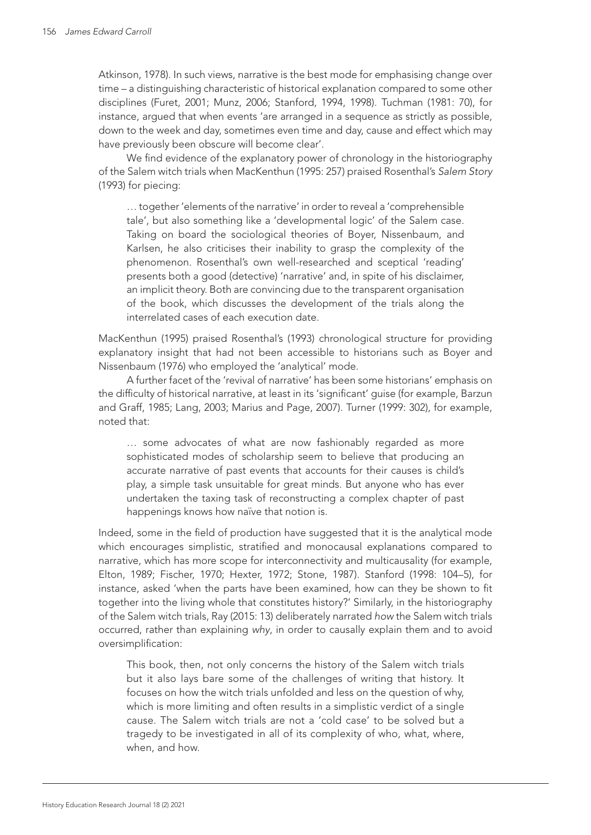Atkinson, 1978). In such views, narrative is the best mode for emphasising change over time – a distinguishing characteristic of historical explanation compared to some other disciplines (Furet, 2001; Munz, 2006; Stanford, 1994, 1998). Tuchman (1981: 70), for instance, argued that when events 'are arranged in a sequence as strictly as possible, down to the week and day, sometimes even time and day, cause and effect which may have previously been obscure will become clear'.

We find evidence of the explanatory power of chronology in the historiography of the Salem witch trials when MacKenthun (1995: 257) praised Rosenthal's *Salem Story* (1993) for piecing:

… together 'elements of the narrative' in order to reveal a 'comprehensible tale', but also something like a 'developmental logic' of the Salem case. Taking on board the sociological theories of Boyer, Nissenbaum, and Karlsen, he also criticises their inability to grasp the complexity of the phenomenon. Rosenthal's own well-researched and sceptical 'reading' presents both a good (detective) 'narrative' and, in spite of his disclaimer, an implicit theory. Both are convincing due to the transparent organisation of the book, which discusses the development of the trials along the interrelated cases of each execution date.

MacKenthun (1995) praised Rosenthal's (1993) chronological structure for providing explanatory insight that had not been accessible to historians such as Boyer and Nissenbaum (1976) who employed the 'analytical' mode.

A further facet of the 'revival of narrative' has been some historians' emphasis on the difficulty of historical narrative, at least in its 'significant' guise (for example, Barzun and Graff, 1985; Lang, 2003; Marius and Page, 2007). Turner (1999: 302), for example, noted that:

… some advocates of what are now fashionably regarded as more sophisticated modes of scholarship seem to believe that producing an accurate narrative of past events that accounts for their causes is child's play, a simple task unsuitable for great minds. But anyone who has ever undertaken the taxing task of reconstructing a complex chapter of past happenings knows how naïve that notion is.

Indeed, some in the field of production have suggested that it is the analytical mode which encourages simplistic, stratified and monocausal explanations compared to narrative, which has more scope for interconnectivity and multicausality (for example, Elton, 1989; Fischer, 1970; Hexter, 1972; Stone, 1987). Stanford (1998: 104–5), for instance, asked 'when the parts have been examined, how can they be shown to fit together into the living whole that constitutes history?' Similarly, in the historiography of the Salem witch trials, Ray (2015: 13) deliberately narrated *how* the Salem witch trials occurred, rather than explaining *why*, in order to causally explain them and to avoid oversimplification:

This book, then, not only concerns the history of the Salem witch trials but it also lays bare some of the challenges of writing that history. It focuses on how the witch trials unfolded and less on the question of why, which is more limiting and often results in a simplistic verdict of a single cause. The Salem witch trials are not a 'cold case' to be solved but a tragedy to be investigated in all of its complexity of who, what, where, when, and how.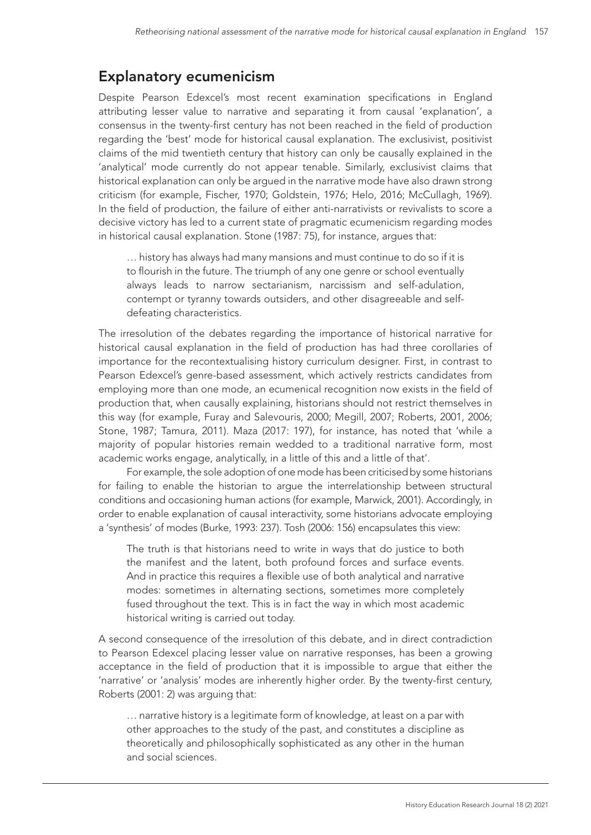# Explanatory ecumenicism

Despite Pearson Edexcel's most recent examination specifications in England attributing lesser value to narrative and separating it from causal 'explanation', a consensus in the twenty-first century has not been reached in the field of production regarding the 'best' mode for historical causal explanation. The exclusivist, positivist claims of the mid twentieth century that history can only be causally explained in the 'analytical' mode currently do not appear tenable. Similarly, exclusivist claims that historical explanation can only be argued in the narrative mode have also drawn strong criticism (for example, Fischer, 1970; Goldstein, 1976; Helo, 2016; McCullagh, 1969). In the field of production, the failure of either anti-narrativists or revivalists to score a decisive victory has led to a current state of pragmatic ecumenicism regarding modes in historical causal explanation. Stone (1987: 75), for instance, argues that:

… history has always had many mansions and must continue to do so if it is to flourish in the future. The triumph of any one genre or school eventually always leads to narrow sectarianism, narcissism and self-adulation, contempt or tyranny towards outsiders, and other disagreeable and selfdefeating characteristics.

The irresolution of the debates regarding the importance of historical narrative for historical causal explanation in the field of production has had three corollaries of importance for the recontextualising history curriculum designer. First, in contrast to Pearson Edexcel's genre-based assessment, which actively restricts candidates from employing more than one mode, an ecumenical recognition now exists in the field of production that, when causally explaining, historians should not restrict themselves in this way (for example, Furay and Salevouris, 2000; Megill, 2007; Roberts, 2001, 2006; Stone, 1987; Tamura, 2011). Maza (2017: 197), for instance, has noted that 'while a majority of popular histories remain wedded to a traditional narrative form, most academic works engage, analytically, in a little of this and a little of that'.

For example, the sole adoption of one mode has been criticised by some historians for failing to enable the historian to argue the interrelationship between structural conditions and occasioning human actions (for example, Marwick, 2001). Accordingly, in order to enable explanation of causal interactivity, some historians advocate employing a 'synthesis' of modes (Burke, 1993: 237). Tosh (2006: 156) encapsulates this view:

The truth is that historians need to write in ways that do justice to both the manifest and the latent, both profound forces and surface events. And in practice this requires a flexible use of both analytical and narrative modes: sometimes in alternating sections, sometimes more completely fused throughout the text. This is in fact the way in which most academic historical writing is carried out today.

A second consequence of the irresolution of this debate, and in direct contradiction to Pearson Edexcel placing lesser value on narrative responses, has been a growing acceptance in the field of production that it is impossible to argue that either the 'narrative' or 'analysis' modes are inherently higher order. By the twenty-first century, Roberts (2001: 2) was arguing that:

… narrative history is a legitimate form of knowledge, at least on a par with other approaches to the study of the past, and constitutes a discipline as theoretically and philosophically sophisticated as any other in the human and social sciences.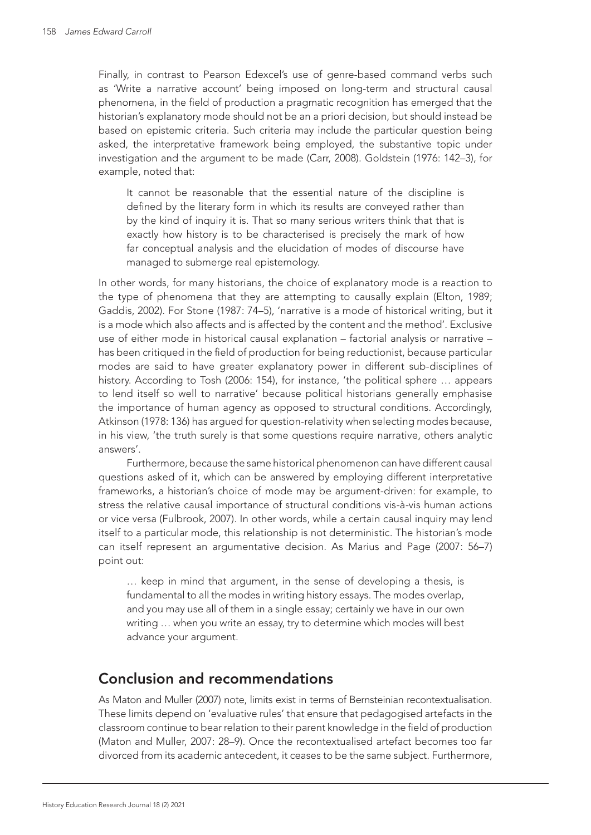Finally, in contrast to Pearson Edexcel's use of genre-based command verbs such as 'Write a narrative account' being imposed on long-term and structural causal phenomena, in the field of production a pragmatic recognition has emerged that the historian's explanatory mode should not be an a priori decision, but should instead be based on epistemic criteria. Such criteria may include the particular question being asked, the interpretative framework being employed, the substantive topic under investigation and the argument to be made (Carr, 2008). Goldstein (1976: 142–3), for example, noted that:

It cannot be reasonable that the essential nature of the discipline is defined by the literary form in which its results are conveyed rather than by the kind of inquiry it is. That so many serious writers think that that is exactly how history is to be characterised is precisely the mark of how far conceptual analysis and the elucidation of modes of discourse have managed to submerge real epistemology.

In other words, for many historians, the choice of explanatory mode is a reaction to the type of phenomena that they are attempting to causally explain (Elton, 1989; Gaddis, 2002). For Stone (1987: 74–5), 'narrative is a mode of historical writing, but it is a mode which also affects and is affected by the content and the method'. Exclusive use of either mode in historical causal explanation – factorial analysis or narrative – has been critiqued in the field of production for being reductionist, because particular modes are said to have greater explanatory power in different sub-disciplines of history. According to Tosh (2006: 154), for instance, 'the political sphere … appears to lend itself so well to narrative' because political historians generally emphasise the importance of human agency as opposed to structural conditions. Accordingly, Atkinson (1978: 136) has argued for question-relativity when selecting modes because, in his view, 'the truth surely is that some questions require narrative, others analytic answers'.

Furthermore, because the same historical phenomenon can have different causal questions asked of it, which can be answered by employing different interpretative frameworks, a historian's choice of mode may be argument-driven: for example, to stress the relative causal importance of structural conditions vis*-*à*-*vis human actions or vice versa (Fulbrook, 2007). In other words, while a certain causal inquiry may lend itself to a particular mode, this relationship is not deterministic. The historian's mode can itself represent an argumentative decision. As Marius and Page (2007: 56–7) point out:

… keep in mind that argument, in the sense of developing a thesis, is fundamental to all the modes in writing history essays. The modes overlap, and you may use all of them in a single essay; certainly we have in our own writing ... when you write an essay, try to determine which modes will best advance your argument.

### Conclusion and recommendations

As Maton and Muller (2007) note, limits exist in terms of Bernsteinian recontextualisation. These limits depend on 'evaluative rules' that ensure that pedagogised artefacts in the classroom continue to bear relation to their parent knowledge in the field of production (Maton and Muller, 2007: 28–9). Once the recontextualised artefact becomes too far divorced from its academic antecedent, it ceases to be the same subject. Furthermore,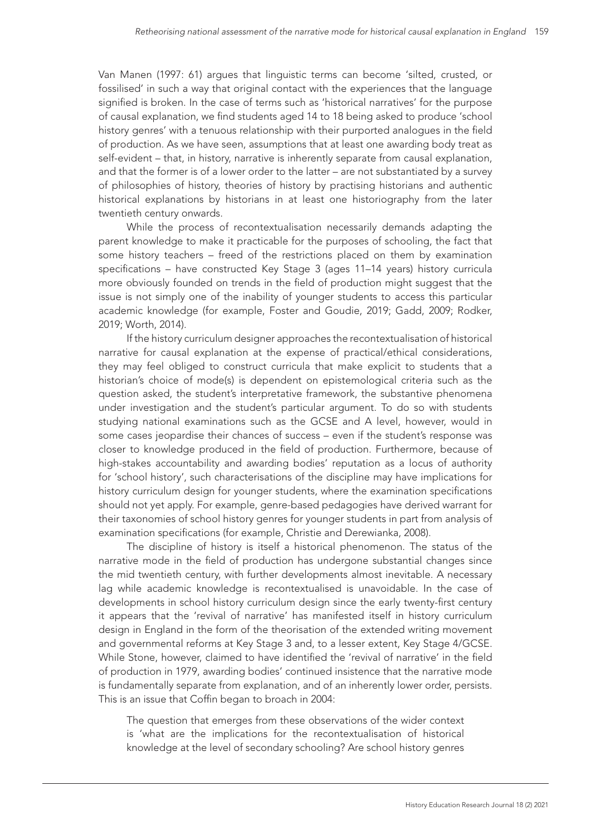Van Manen (1997: 61) argues that linguistic terms can become 'silted, crusted, or fossilised' in such a way that original contact with the experiences that the language signified is broken. In the case of terms such as 'historical narratives' for the purpose of causal explanation, we find students aged 14 to 18 being asked to produce 'school history genres' with a tenuous relationship with their purported analogues in the field of production. As we have seen, assumptions that at least one awarding body treat as self-evident – that, in history, narrative is inherently separate from causal explanation, and that the former is of a lower order to the latter – are not substantiated by a survey of philosophies of history, theories of history by practising historians and authentic historical explanations by historians in at least one historiography from the later twentieth century onwards.

While the process of recontextualisation necessarily demands adapting the parent knowledge to make it practicable for the purposes of schooling, the fact that some history teachers – freed of the restrictions placed on them by examination specifications – have constructed Key Stage 3 (ages 11–14 years) history curricula more obviously founded on trends in the field of production might suggest that the issue is not simply one of the inability of younger students to access this particular academic knowledge (for example, Foster and Goudie, 2019; Gadd, 2009; Rodker, 2019; Worth, 2014).

If the history curriculum designer approaches the recontextualisation of historical narrative for causal explanation at the expense of practical/ethical considerations, they may feel obliged to construct curricula that make explicit to students that a historian's choice of mode(s) is dependent on epistemological criteria such as the question asked, the student's interpretative framework, the substantive phenomena under investigation and the student's particular argument. To do so with students studying national examinations such as the GCSE and A level, however, would in some cases jeopardise their chances of success – even if the student's response was closer to knowledge produced in the field of production. Furthermore, because of high-stakes accountability and awarding bodies' reputation as a locus of authority for 'school history', such characterisations of the discipline may have implications for history curriculum design for younger students, where the examination specifications should not yet apply. For example, genre-based pedagogies have derived warrant for their taxonomies of school history genres for younger students in part from analysis of examination specifications (for example, Christie and Derewianka, 2008).

The discipline of history is itself a historical phenomenon. The status of the narrative mode in the field of production has undergone substantial changes since the mid twentieth century, with further developments almost inevitable. A necessary lag while academic knowledge is recontextualised is unavoidable. In the case of developments in school history curriculum design since the early twenty-first century it appears that the 'revival of narrative' has manifested itself in history curriculum design in England in the form of the theorisation of the extended writing movement and governmental reforms at Key Stage 3 and, to a lesser extent, Key Stage 4/GCSE. While Stone, however, claimed to have identified the 'revival of narrative' in the field of production in 1979, awarding bodies' continued insistence that the narrative mode is fundamentally separate from explanation, and of an inherently lower order, persists. This is an issue that Coffin began to broach in 2004:

The question that emerges from these observations of the wider context is 'what are the implications for the recontextualisation of historical knowledge at the level of secondary schooling? Are school history genres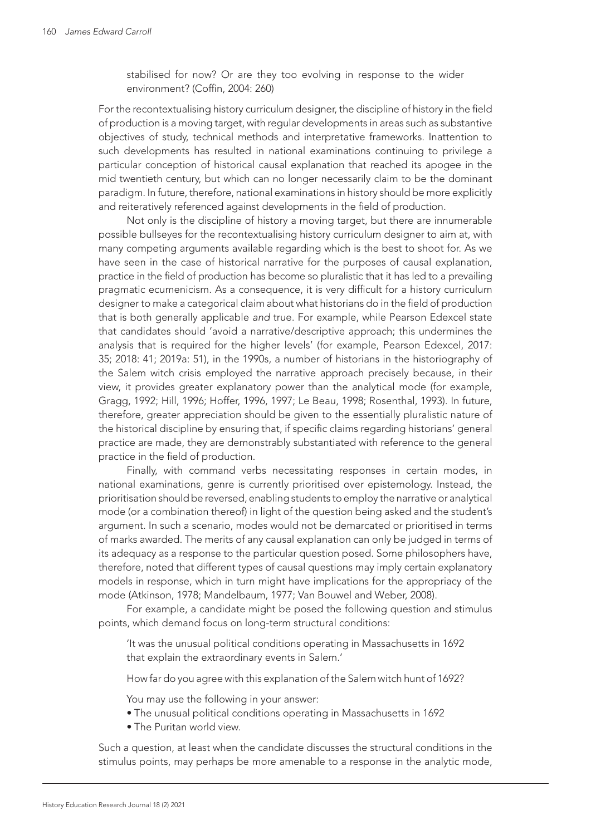stabilised for now? Or are they too evolving in response to the wider environment? (Coffin, 2004: 260)

For the recontextualising history curriculum designer, the discipline of history in the field of production is a moving target, with regular developments in areas such as substantive objectives of study, technical methods and interpretative frameworks. Inattention to such developments has resulted in national examinations continuing to privilege a particular conception of historical causal explanation that reached its apogee in the mid twentieth century, but which can no longer necessarily claim to be the dominant paradigm. In future, therefore, national examinations in history should be more explicitly and reiteratively referenced against developments in the field of production.

Not only is the discipline of history a moving target, but there are innumerable possible bullseyes for the recontextualising history curriculum designer to aim at, with many competing arguments available regarding which is the best to shoot for. As we have seen in the case of historical narrative for the purposes of causal explanation, practice in the field of production has become so pluralistic that it has led to a prevailing pragmatic ecumenicism. As a consequence, it is very difficult for a history curriculum designer to make a categorical claim about what historians do in the field of production that is both generally applicable *and* true. For example, while Pearson Edexcel state that candidates should 'avoid a narrative/descriptive approach; this undermines the analysis that is required for the higher levels' (for example, Pearson Edexcel, 2017: 35; 2018: 41; 2019a: 51), in the 1990s, a number of historians in the historiography of the Salem witch crisis employed the narrative approach precisely because, in their view, it provides greater explanatory power than the analytical mode (for example, Gragg, 1992; Hill, 1996; Hoffer, 1996, 1997; Le Beau, 1998; Rosenthal, 1993). In future, therefore, greater appreciation should be given to the essentially pluralistic nature of the historical discipline by ensuring that, if specific claims regarding historians' general practice are made, they are demonstrably substantiated with reference to the general practice in the field of production.

Finally, with command verbs necessitating responses in certain modes, in national examinations, genre is currently prioritised over epistemology. Instead, the prioritisation should be reversed, enabling students to employ the narrative or analytical mode (or a combination thereof) in light of the question being asked and the student's argument. In such a scenario, modes would not be demarcated or prioritised in terms of marks awarded. The merits of any causal explanation can only be judged in terms of its adequacy as a response to the particular question posed. Some philosophers have, therefore, noted that different types of causal questions may imply certain explanatory models in response, which in turn might have implications for the appropriacy of the mode (Atkinson, 1978; Mandelbaum, 1977; Van Bouwel and Weber, 2008).

For example, a candidate might be posed the following question and stimulus points, which demand focus on long-term structural conditions:

'It was the unusual political conditions operating in Massachusetts in 1692 that explain the extraordinary events in Salem.'

How far do you agree with this explanation of the Salem witch hunt of 1692?

You may use the following in your answer:

- The unusual political conditions operating in Massachusetts in 1692
- The Puritan world view.

Such a question, at least when the candidate discusses the structural conditions in the stimulus points, may perhaps be more amenable to a response in the analytic mode,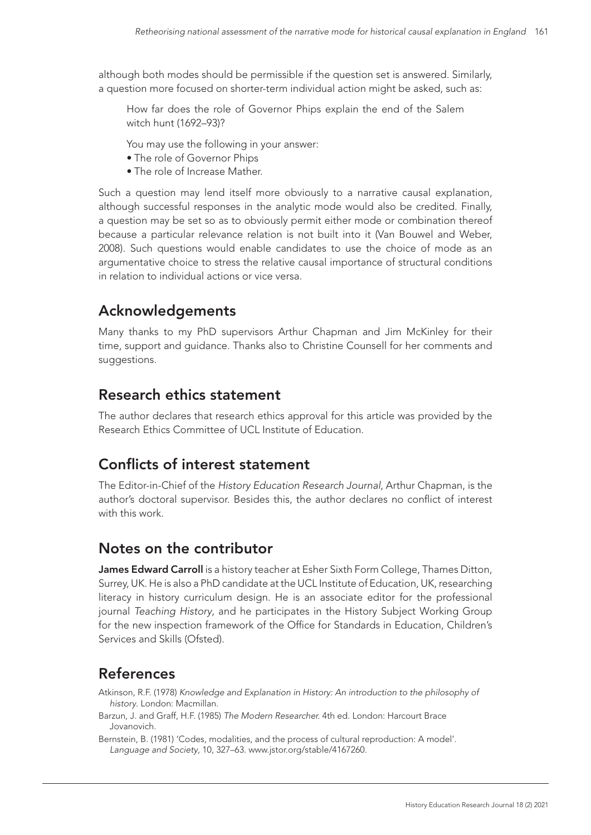although both modes should be permissible if the question set is answered. Similarly, a question more focused on shorter-term individual action might be asked, such as:

How far does the role of Governor Phips explain the end of the Salem witch hunt (1692–93)?

You may use the following in your answer:

- The role of Governor Phips
- The role of Increase Mather.

Such a question may lend itself more obviously to a narrative causal explanation, although successful responses in the analytic mode would also be credited. Finally, a question may be set so as to obviously permit either mode or combination thereof because a particular relevance relation is not built into it (Van Bouwel and Weber, 2008). Such questions would enable candidates to use the choice of mode as an argumentative choice to stress the relative causal importance of structural conditions in relation to individual actions or vice versa.

# Acknowledgements

Many thanks to my PhD supervisors Arthur Chapman and Jim McKinley for their time, support and guidance. Thanks also to Christine Counsell for her comments and suggestions.

#### Research ethics statement

The author declares that research ethics approval for this article was provided by the Research Ethics Committee of UCL Institute of Education.

### Conflicts of interest statement

The Editor-in-Chief of the *History Education Research Journal*, Arthur Chapman, is the author's doctoral supervisor. Besides this, the author declares no conflict of interest with this work.

### Notes on the contributor

James Edward Carroll is a history teacher at Esher Sixth Form College, Thames Ditton, Surrey, UK. He is also a PhD candidate at the UCL Institute of Education, UK, researching literacy in history curriculum design. He is an associate editor for the professional journal *Teaching History*, and he participates in the History Subject Working Group for the new inspection framework of the Office for Standards in Education, Children's Services and Skills (Ofsted).

# References

Atkinson, R.F. (1978) *Knowledge and Explanation in History: An introduction to the philosophy of history*. London: Macmillan.

Barzun, J. and Graff, H.F. (1985) *The Modern Researcher.* 4th ed. London: Harcourt Brace Jovanovich.

Bernstein, B. (1981) 'Codes, modalities, and the process of cultural reproduction: A model'. *Language and Society*, 10, 327–63. [www.jstor.org/stable/4167260.](http://www.jstor.org/stable/4167260)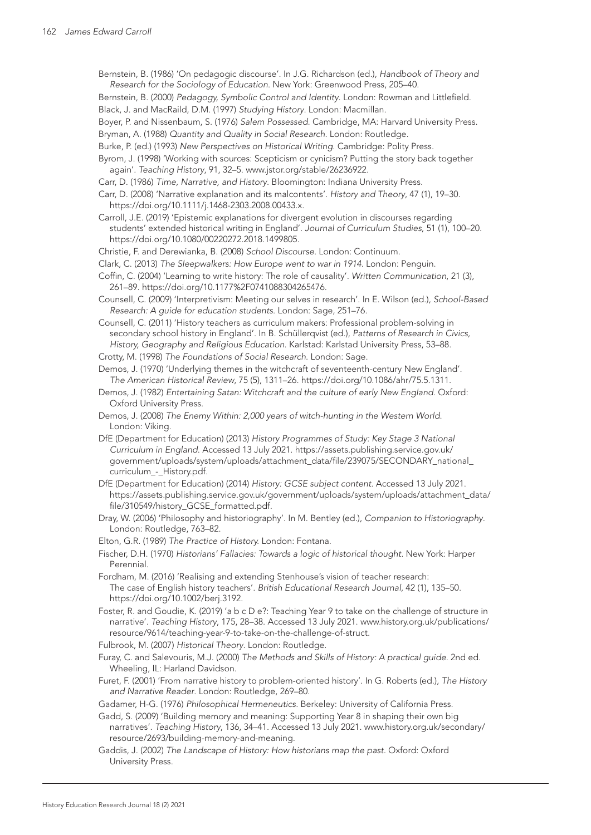- Bernstein, B. (1986) 'On pedagogic discourse'. In J.G. Richardson (ed.), *Handbook of Theory and Research for the Sociology of Education*. New York: Greenwood Press, 205–40.
- Bernstein, B. (2000) *Pedagogy, Symbolic Control and Identity*. London: Rowman and Littlefield.

Black, J. and MacRaild, D.M. (1997) *Studying History*. London: Macmillan.

- Boyer, P. and Nissenbaum, S. (1976) *Salem Possessed.* Cambridge, MA: Harvard University Press.
- Bryman, A. (1988) *Quantity and Quality in Social Research*. London: Routledge.
- Burke, P. (ed.) (1993) *New Perspectives on Historical Writing*. Cambridge: Polity Press.
- Byrom, J. (1998) 'Working with sources: Scepticism or cynicism? Putting the story back together again'. *Teaching History*, 91, 32–5. [www.jstor.org/stable/26236922](http://www.jstor.org/stable/26236922).
- Carr, D. (1986) *Time, Narrative, and History*. Bloomington: Indiana University Press.
- Carr, D. (2008) 'Narrative explanation and its malcontents'. *History and Theory*, 47 (1), 19–30. <https://doi.org/10.1111/j.1468-2303.2008.00433.x>.
- Carroll, J.E. (2019) 'Epistemic explanations for divergent evolution in discourses regarding students' extended historical writing in England'. *Journal of Curriculum Studies*, 51 (1), 100–20. [https://doi.org/10.1080/00220272.2018.1499805.](https://doi.org/10.1080/00220272.2018.1499805)
- Christie, F. and Derewianka, B. (2008) *School Discourse*. London: Continuum.
- Clark, C. (2013) *The Sleepwalkers: How Europe went to war in 1914*. London: Penguin.
- Coffin, C. (2004) 'Learning to write history: The role of causality'. *Written Communication*, 21 (3), 261–89.<https://doi.org/10.1177%2F0741088304265476>.
- Counsell, C. (2009) 'Interpretivism: Meeting our selves in research'. In E. Wilson (ed.), *School-Based Research: A guide for education students*. London: Sage, 251–76.
- Counsell, C. (2011) 'History teachers as curriculum makers: Professional problem-solving in secondary school history in England'. In B. Schüllerqvist (ed.), *Patterns of Research in Civics, History, Geography and Religious Education*. Karlstad: Karlstad University Press, 53–88.
- Crotty, M. (1998) *The Foundations of Social Research*. London: Sage.
- Demos, J. (1970) 'Underlying themes in the witchcraft of seventeenth-century New England'. *The American Historical Review*, 75 (5), 1311–26. <https://doi.org/10.1086/ahr/75.5.1311>.
- Demos, J. (1982) *Entertaining Satan: Witchcraft and the culture of early New England*. Oxford: Oxford University Press.
- Demos, J. (2008) *The Enemy Within: 2,000 years of witch-hunting in the Western World*. London: Viking.
- DfE (Department for Education) (2013) *History Programmes of Study: Key Stage 3 National Curriculum in England*. Accessed 13 July 2021. [https://assets.publishing.service.gov.uk/](https://assets.publishing.service.gov.uk/government/uploads/system/uploads/attachment_data/file/239075/SECONDARY_national_curriculum_-_History.pdf) [government/uploads/system/uploads/attachment\\_data/file/239075/SECONDARY\\_national\\_](https://assets.publishing.service.gov.uk/government/uploads/system/uploads/attachment_data/file/239075/SECONDARY_national_curriculum_-_History.pdf) [curriculum\\_-\\_History.pdf](https://assets.publishing.service.gov.uk/government/uploads/system/uploads/attachment_data/file/239075/SECONDARY_national_curriculum_-_History.pdf).
- DfE (Department for Education) (2014) *History: GCSE subject content*. Accessed 13 July 2021. [https://assets.publishing.service.gov.uk/government/uploads/system/uploads/attachment\\_data/](https://assets.publishing.service.gov.uk/government/uploads/system/uploads/attachment_data/file/310549/history_GCSE_formatted.pdf) [file/310549/history\\_GCSE\\_formatted.pdf](https://assets.publishing.service.gov.uk/government/uploads/system/uploads/attachment_data/file/310549/history_GCSE_formatted.pdf).
- Dray, W. (2006) 'Philosophy and historiography'. In M. Bentley (ed.), *Companion to Historiography*. London: Routledge, 763–82.
- Elton, G.R. (1989) *The Practice of History.* London: Fontana.
- Fischer, D.H. (1970) *Historians' Fallacies: Towards a logic of historical thought*. New York: Harper Perennial.
- Fordham, M. (2016) 'Realising and extending Stenhouse's vision of teacher research: The case of English history teachers'. *British Educational Research Journal*, 42 (1), 135–50. [https://doi.org/10.1002/berj.3192.](https://doi.org/10.1002/berj.3192)
- Foster, R. and Goudie, K. (2019) 'a b c D e?: Teaching Year 9 to take on the challenge of structure in narrative'. *Teaching History*, 175, 28–38. Accessed 13 July 2021. [www.history.org.uk/publications/](http://www.history.org.uk/publications/resource/9614/teaching-year-9-to-take-on-the-challenge-of-struct) [resource/9614/teaching-year-9-to-take-on-the-challenge-of-struct](http://www.history.org.uk/publications/resource/9614/teaching-year-9-to-take-on-the-challenge-of-struct).
- Fulbrook, M. (2007) *Historical Theory*. London: Routledge.
- Furay, C. and Salevouris, M.J. (2000) *The Methods and Skills of History: A practical guide*. 2nd ed. Wheeling, IL: Harland Davidson.
- Furet, F. (2001) 'From narrative history to problem-oriented history'. In G. Roberts (ed.), *The History and Narrative Reader*. London: Routledge, 269–80.
- Gadamer, H-G. (1976) *Philosophical Hermeneutics*. Berkeley: University of California Press.
- Gadd, S. (2009) 'Building memory and meaning: Supporting Year 8 in shaping their own big narratives'. *Teaching History*, 136, 34–41. Accessed 13 July 2021. [www.history.org.uk/secondary/](http://www.history.org.uk/secondary/resource/2693/building-memory-and-meaning) [resource/2693/building-memory-and-meaning](http://www.history.org.uk/secondary/resource/2693/building-memory-and-meaning).
- Gaddis, J. (2002) *The Landscape of History: How historians map the past.* Oxford: Oxford University Press.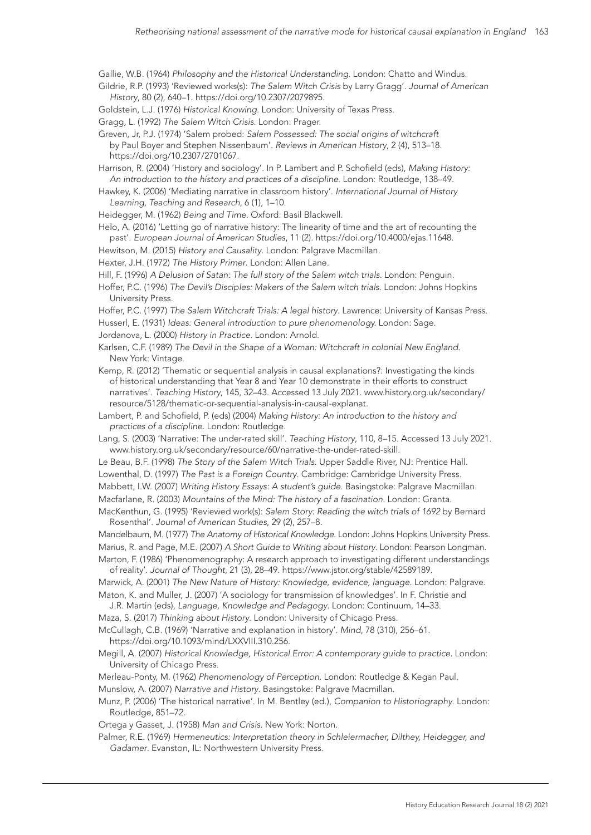Gallie, W.B. (1964) *Philosophy and the Historical Understanding*. London: Chatto and Windus.

Gildrie, R.P. (1993) 'Reviewed works(s): *The Salem Witch Crisis* by Larry Gragg'. *Journal of American History*, 80 (2), 640–1. <https://doi.org/10.2307/2079895>.

Goldstein, L.J. (1976) *Historical Knowing*. London: University of Texas Press.

Gragg, L. (1992) *The Salem Witch Crisis*. London: Prager.

Greven, Jr, P.J. (1974) 'Salem probed: *Salem Possessed: The social origins of witchcraft* by Paul Boyer and Stephen Nissenbaum'. *Reviews in American History*, 2 (4), 513–18. [https://doi.org/10.2307/2701067.](https://doi.org/10.2307/2701067)

Harrison, R. (2004) 'History and sociology'. In P. Lambert and P. Schofield (eds), *Making History: An introduction to the history and practices of a discipline*. London: Routledge, 138–49.

Hawkey, K. (2006) 'Mediating narrative in classroom history'. *International Journal of History Learning, Teaching and Research*, 6 (1), 1–10.

Heidegger, M. (1962) *Being and Time*. Oxford: Basil Blackwell.

Helo, A. (2016) 'Letting go of narrative history: The linearity of time and the art of recounting the past'. *European Journal of American Studies*, 11 (2). [https://doi.org/10.4000/ejas.11648.](https://doi.org/10.4000/ejas.11648)

Hewitson, M. (2015) *History and Causality*. London: Palgrave Macmillan.

Hexter, J.H. (1972) *The History Primer*. London: Allen Lane.

Hill, F. (1996) *A Delusion of Satan: The full story of the Salem witch trials.* London: Penguin.

Hoffer, P.C. (1996) *The Devil's Disciples: Makers of the Salem witch trials.* London: Johns Hopkins University Press.

Hoffer, P.C. (1997) *The Salem Witchcraft Trials: A legal history*. Lawrence: University of Kansas Press.

Husserl, E. (1931) *Ideas: General introduction to pure phenomenology.* London: Sage.

Jordanova, L. (2000) *History in Practice*. London: Arnold.

Karlsen, C.F. (1989) *The Devil in the Shape of a Woman: Witchcraft in colonial New England*. New York: Vintage.

Kemp, R. (2012) 'Thematic or sequential analysis in causal explanations?: Investigating the kinds of historical understanding that Year 8 and Year 10 demonstrate in their efforts to construct narratives'. *Teaching History*, 145, 32–43. Accessed 13 July 2021. [www.history.org.uk/secondary/](http://www.history.org.uk/secondary/resource/5128/thematic-or-sequential-analysis-in-causal-explanat) [resource/5128/thematic-or-sequential-analysis-in-causal-explanat.](http://www.history.org.uk/secondary/resource/5128/thematic-or-sequential-analysis-in-causal-explanat)

Lambert, P. and Schofield, P. (eds) (2004) *Making History: An introduction to the history and practices of a discipline*. London: Routledge.

Lang, S. (2003) 'Narrative: The under-rated skill'. *Teaching History*, 110, 8–15. Accessed 13 July 2021. [www.history.org.uk/secondary/resource/60/narrative-the-under-rated-skill.](http://www.history.org.uk/secondary/resource/60/narrative-the-under-rated-skill)

Le Beau, B.F. (1998) *The Story of the Salem Witch Trials*. Upper Saddle River, NJ: Prentice Hall.

Lowenthal, D. (1997) *The Past is a Foreign Country*. Cambridge: Cambridge University Press.

Mabbett, I.W. (2007) *Writing History Essays: A student's guide*. Basingstoke: Palgrave Macmillan.

Macfarlane, R. (2003) *Mountains of the Mind: The history of a fascination*. London: Granta.

MacKenthun, G. (1995) 'Reviewed work(s): *Salem Story: Reading the witch trials of 1692* by Bernard Rosenthal'. *Journal of American Studies*, 29 (2), 257–8.

Mandelbaum, M. (1977) *The Anatomy of Historical Knowledge*. London: Johns Hopkins University Press.

Marius, R. and Page, M.E. (2007) *A Short Guide to Writing about History*. London: Pearson Longman.

Marton, F. (1986) 'Phenomenography: A research approach to investigating different understandings of reality'. *Journal of Thought*, 21 (3), 28–49. [https://www.jstor.org/stable/42589189.](https://www.jstor.org/stable/42589189)

Marwick, A. (2001) *The New Nature of History: Knowledge, evidence, language.* London: Palgrave. Maton, K. and Muller, J. (2007) 'A sociology for transmission of knowledges'. In F. Christie and

J.R. Martin (eds), *Language, Knowledge and Pedagogy*. London: Continuum, 14–33.

Maza, S. (2017) *Thinking about History*. London: University of Chicago Press.

McCullagh, C.B. (1969) 'Narrative and explanation in history'. *Mind*, 78 (310), 256–61. <https://doi.org/10.1093/mind/LXXVIII.310.256>.

Megill, A. (2007) *Historical Knowledge, Historical Error: A contemporary guide to practice.* London: University of Chicago Press.

Merleau-Ponty, M. (1962) *Phenomenology of Perception*. London: Routledge & Kegan Paul.

Munslow, A. (2007) *Narrative and History*. Basingstoke: Palgrave Macmillan.

Munz, P. (2006) 'The historical narrative'. In M. Bentley (ed.), *Companion to Historiography*. London: Routledge, 851–72.

Ortega y Gasset, J. (1958) *Man and Crisis*. New York: Norton.

Palmer, R.E. (1969) *Hermeneutics: Interpretation theory in Schleiermacher, Dilthey, Heidegger, and Gadamer*. Evanston, IL: Northwestern University Press.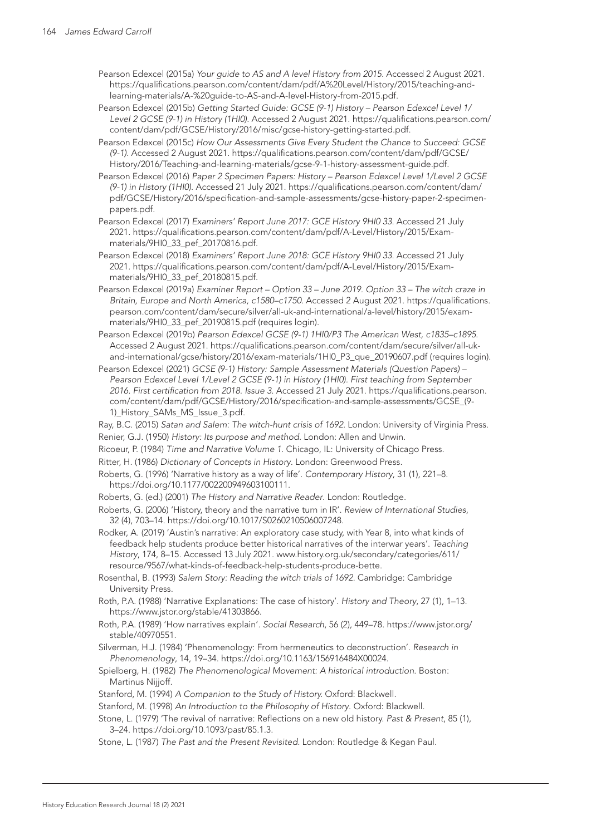Pearson Edexcel (2015a) *Your guide to AS and A level History from 2015*. Accessed 2 August 2021. [https://qualifications.pearson.com/content/dam/pdf/A%20Level/History/2015/teaching-and](https://qualifications.pearson.com/content/dam/pdf/A%20Level/History/2015/teaching-and-learning-materials/A-%20guide-to-AS-and-A-level-History-from-2015.pdf)[learning-materials/A-%20guide-to-AS-and-A-level-History-from-2015.pdf](https://qualifications.pearson.com/content/dam/pdf/A%20Level/History/2015/teaching-and-learning-materials/A-%20guide-to-AS-and-A-level-History-from-2015.pdf).

Pearson Edexcel (2015b) *Getting Started Guide: GCSE (9-1) History – Pearson Edexcel Level 1/ Level 2 GCSE (9-1) in History (1HI0)*. Accessed 2 August 2021. [https://qualifications.pearson.com/](https://qualifications.pearson.com/content/dam/pdf/GCSE/History/2016/misc/gcse-history-getting-started.pdf) [content/dam/pdf/GCSE/History/2016/misc/gcse-history-getting-started.pdf.](https://qualifications.pearson.com/content/dam/pdf/GCSE/History/2016/misc/gcse-history-getting-started.pdf)

Pearson Edexcel (2015c) *How Our Assessments Give Every Student the Chance to Succeed: GCSE (9-1)*. Accessed 2 August 2021. [https://qualifications.pearson.com/content/dam/pdf/GCSE/](https://qualifications.pearson.com/content/dam/pdf/GCSE/History/2016/Teaching-and-learning-materials/gcse-9-1-history-assessment-guide.pdf) [History/2016/Teaching-and-learning-materials/gcse-9-1-history-assessment-guide.pdf](https://qualifications.pearson.com/content/dam/pdf/GCSE/History/2016/Teaching-and-learning-materials/gcse-9-1-history-assessment-guide.pdf).

Pearson Edexcel (2016) *Paper 2 Specimen Papers: History – Pearson Edexcel Level 1/Level 2 GCSE (9-1) in History (1HI0)*. Accessed 21 July 2021. [https://qualifications.pearson.com/content/dam/](https://qualifications.pearson.com/content/dam/pdf/GCSE/History/2016/specification-and-sample-assessments/gcse-history-paper-2-specimen-papers.pdf) [pdf/GCSE/History/2016/specification-and-sample-assessments/gcse-history-paper-2-specimen](https://qualifications.pearson.com/content/dam/pdf/GCSE/History/2016/specification-and-sample-assessments/gcse-history-paper-2-specimen-papers.pdf)[papers.pdf](https://qualifications.pearson.com/content/dam/pdf/GCSE/History/2016/specification-and-sample-assessments/gcse-history-paper-2-specimen-papers.pdf).

Pearson Edexcel (2017) *Examiners' Report June 2017: GCE History 9HI0 33*. Accessed 21 July 2021. [https://qualifications.pearson.com/content/dam/pdf/A-Level/History/2015/Exam](https://qualifications.pearson.com/content/dam/pdf/A-Level/History/2015/Exam-materials/9HI0_33_pef_20170816.pdf)[materials/9HI0\\_33\\_pef\\_20170816.pdf.](https://qualifications.pearson.com/content/dam/pdf/A-Level/History/2015/Exam-materials/9HI0_33_pef_20170816.pdf)

Pearson Edexcel (2018) *Examiners' Report June 2018: GCE History 9HI0 33*. Accessed 21 July 2021. [https://qualifications.pearson.com/content/dam/pdf/A-Level/History/2015/Exam](https://qualifications.pearson.com/content/dam/pdf/A-Level/History/2015/Exam-materials/9HI0_33_pef_20180815.pdf)[materials/9HI0\\_33\\_pef\\_20180815.pdf.](https://qualifications.pearson.com/content/dam/pdf/A-Level/History/2015/Exam-materials/9HI0_33_pef_20180815.pdf)

Pearson Edexcel (2019a) *Examiner Report – Option 33 – June 2019. Option 33 – The witch craze in Britain, Europe and North America, c1580–c1750*. Accessed 2 August 2021. [https://qualifications.](https://qualifications.pearson.com/content/dam/secure/silver/all-uk-and-international/a-level/history/2015/exam-materials/9HI0_33_pef_20190815.pdf) [pearson.com/content/dam/secure/silver/all-uk-and-international/a-level/history/2015/exam](https://qualifications.pearson.com/content/dam/secure/silver/all-uk-and-international/a-level/history/2015/exam-materials/9HI0_33_pef_20190815.pdf)[materials/9HI0\\_33\\_pef\\_20190815.pdf](https://qualifications.pearson.com/content/dam/secure/silver/all-uk-and-international/a-level/history/2015/exam-materials/9HI0_33_pef_20190815.pdf) (requires login).

Pearson Edexcel (2019b) *Pearson Edexcel GCSE (9-1) 1HI0/P3 The American West, c1835–c1895*. Accessed 2 August 2021. [https://qualifications.pearson.com/content/dam/secure/silver/all-uk](https://qualifications.pearson.com/content/dam/secure/silver/all-uk-and-international/gcse/history/2016/exam-materials/1HI0_P3_que_20190607.pdf)[and-international/gcse/history/2016/exam-materials/1HI0\\_P3\\_que\\_20190607.pdf](https://qualifications.pearson.com/content/dam/secure/silver/all-uk-and-international/gcse/history/2016/exam-materials/1HI0_P3_que_20190607.pdf) (requires login).

Pearson Edexcel (2021) *GCSE (9-1) History: Sample Assessment Materials (Question Papers) – Pearson Edexcel Level 1/Level 2 GCSE (9-1) in History (1HI0). First teaching from September 2016. First certification from 2018. Issue 3.* Accessed 21 July 2021. [https://qualifications.pearson.](https://qualifications.pearson.com/content/dam/pdf/GCSE/History/2016/specification-and-sample-assessments/GCSE_(9-1)_History_SAMs_MS_Issue_3.pdf) [com/content/dam/pdf/GCSE/History/2016/specification-and-sample-assessments/GCSE\\_\(9-](https://qualifications.pearson.com/content/dam/pdf/GCSE/History/2016/specification-and-sample-assessments/GCSE_(9-1)_History_SAMs_MS_Issue_3.pdf) [1\)\\_History\\_SAMs\\_MS\\_Issue\\_3.pdf.](https://qualifications.pearson.com/content/dam/pdf/GCSE/History/2016/specification-and-sample-assessments/GCSE_(9-1)_History_SAMs_MS_Issue_3.pdf)

Ray, B.C. (2015) *Satan and Salem: The witch-hunt crisis of 1692.* London: University of Virginia Press. Renier, G.J. (1950) *History: Its purpose and method*. London: Allen and Unwin.

Ricoeur, P. (1984) *Time and Narrative Volume 1*. Chicago, IL: University of Chicago Press.

Ritter, H. (1986) *Dictionary of Concepts in History*. London: Greenwood Press.

- Roberts, G. (1996) 'Narrative history as a way of life'. *Contemporary History*, 31 (1), 221–8. <https://doi.org/10.1177/002200949603100111>.
- Roberts, G. (ed.) (2001) *The History and Narrative Reader*. London: Routledge.

Roberts, G. (2006) 'History, theory and the narrative turn in IR'. *Review of International Studies*, 32 (4), 703–14. <https://doi.org/10.1017/S0260210506007248>.

Rodker, A. (2019) 'Austin's narrative: An exploratory case study, with Year 8, into what kinds of feedback help students produce better historical narratives of the interwar years'. *Teaching History*, 174, 8–15. Accessed 13 July 2021. [www.history.org.uk/secondary/categories/611/](http://www.history.org.uk/secondary/categories/611/resource/9567/what-kinds-of-feedback-help-students-produce-bette) [resource/9567/what-kinds-of-feedback-help-students-produce-bette.](http://www.history.org.uk/secondary/categories/611/resource/9567/what-kinds-of-feedback-help-students-produce-bette)

Rosenthal, B. (1993) *Salem Story: Reading the witch trials of 1692.* Cambridge: Cambridge University Press.

Roth, P.A. (1988) 'Narrative Explanations: The case of history'. *History and Theory*, 27 (1), 1–13. [https://www.jstor.org/stable/41303866.](https://www.jstor.org/stable/41303866)

Roth, P.A. (1989) 'How narratives explain'. *Social Research*, 56 (2), 449–78. [https://www.jstor.org/](https://www.jstor.org/stable/40970551) [stable/40970551](https://www.jstor.org/stable/40970551).

Silverman, H.J. (1984) 'Phenomenology: From hermeneutics to deconstruction'. *Research in Phenomenology*, 14, 19–34. <https://doi.org/10.1163/156916484X00024>.

Spielberg, H. (1982) *The Phenomenological Movement: A historical introduction*. Boston: Martinus Nijjoff.

Stanford, M. (1994) *A Companion to the Study of History.* Oxford: Blackwell.

Stanford, M. (1998) *An Introduction to the Philosophy of History*. Oxford: Blackwell.

Stone, L. (1979) 'The revival of narrative: Reflections on a new old history. *Past & Present*, 85 (1), 3–24. [https://doi.org/10.1093/past/85.1.3.](https://doi.org/10.1093/past/85.1.3)

Stone, L. (1987) *The Past and the Present Revisited.* London: Routledge & Kegan Paul.